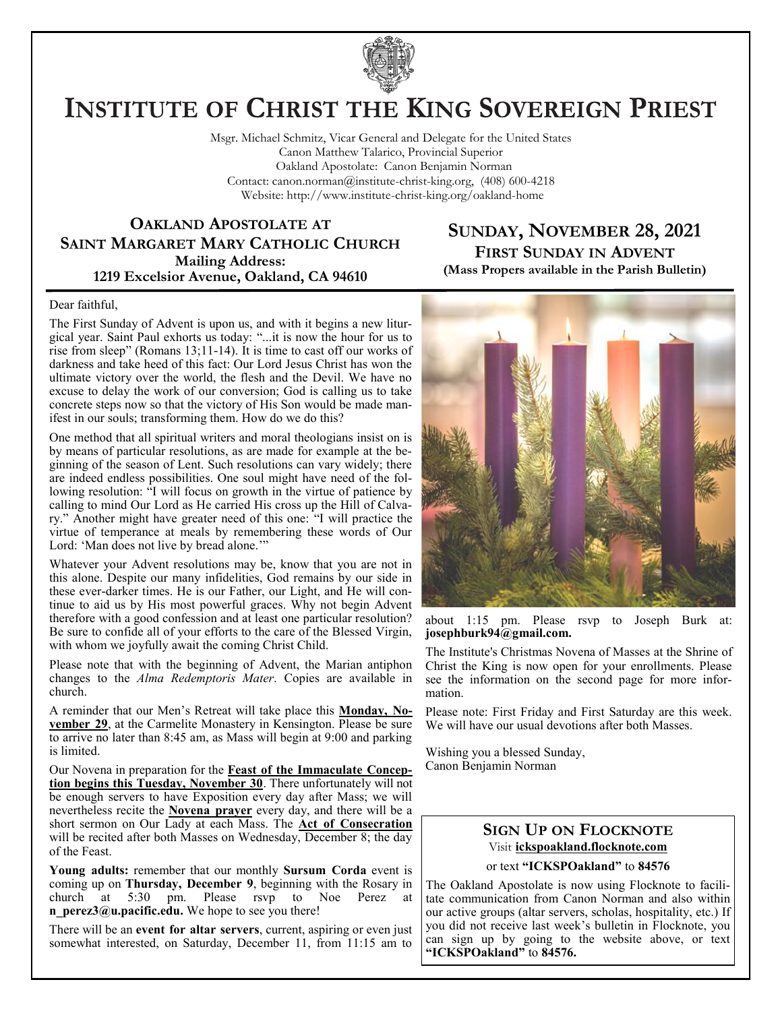

# **INSTITUTE OF CHRIST THE KING SOVEREIGN PRIEST**

Msgr. Michael Schmitz, Vicar General and Delegate for the United States Canon Matthew Talarico, Provincial Superior Oakland Apostolate: Canon Benjamin Norman Contact: canon.norman@institute-christ-king.org, (408) 600-4218 Website: http://www.institute-christ-king.org/oakland-home

### **OAKLAND APOSTOLATE AT SAINT MARGARET MARY CATHOLIC CHURCH Mailing Address: 1219 Excelsior Avenue, Oakland, CA 94610**

### **SUNDAY, NOVEMBER 28, 2021 FIRST SUNDAY IN ADVENT (Mass Propers available in the Parish Bulletin)**

#### Dear faithful,

The First Sunday of Advent is upon us, and with it begins a new liturgical year. Saint Paul exhorts us today: "...it is now the hour for us to rise from sleep" (Romans 13;11-14). It is time to cast off our works of darkness and take heed of this fact: Our Lord Jesus Christ has won the ultimate victory over the world, the flesh and the Devil. We have no excuse to delay the work of our conversion; God is calling us to take concrete steps now so that the victory of His Son would be made manifest in our souls; transforming them. How do we do this?

One method that all spiritual writers and moral theologians insist on is by means of particular resolutions, as are made for example at the beginning of the season of Lent. Such resolutions can vary widely; there are indeed endless possibilities. One soul might have need of the following resolution: "I will focus on growth in the virtue of patience by calling to mind Our Lord as He carried His cross up the Hill of Calvary." Another might have greater need of this one: "I will practice the virtue of temperance at meals by remembering these words of Our Lord: 'Man does not live by bread alone.'"

Whatever your Advent resolutions may be, know that you are not in this alone. Despite our many infidelities, God remains by our side in these ever-darker times. He is our Father, our Light, and He will continue to aid us by His most powerful graces. Why not begin Advent therefore with a good confession and at least one particular resolution? Be sure to confide all of your efforts to the care of the Blessed Virgin, with whom we joyfully await the coming Christ Child.

Please note that with the beginning of Advent, the Marian antiphon changes to the *Alma Redemptoris Mater*. Copies are available in church.

A reminder that our Men's Retreat will take place this **Monday, November 29**, at the Carmelite Monastery in Kensington. Please be sure to arrive no later than 8:45 am, as Mass will begin at 9:00 and parking is limited.

Our Novena in preparation for the **Feast of the Immaculate Conception begins this Tuesday, November 30**. There unfortunately will not be enough servers to have Exposition every day after Mass; we will nevertheless recite the **Novena prayer** every day, and there will be a short sermon on Our Lady at each Mass. The **Act of Consecration** will be recited after both Masses on Wednesday, December 8; the day of the Feast.

**Young adults:** remember that our monthly **Sursum Corda** event is coming up on **Thursday, December 9**, beginning with the Rosary in church at 5:30 pm. Please rsvp to Noe Perez at **n** perez3@u.pacific.edu. We hope to see you there!

There will be an **event for altar servers**, current, aspiring or even just somewhat interested, on Saturday, December 11, from 11:15 am to



about 1:15 pm. Please rsvp to Joseph Burk at: **[josephburk94@gmail.com.](mailto:josephburk94@gmail.com)**

The Institute's Christmas Novena of Masses at the Shrine of Christ the King is now open for your enrollments. Please see the information on the second page for more information.

Please note: First Friday and First Saturday are this week. We will have our usual devotions after both Masses.

Wishing you a blessed Sunday, Canon Benjamin Norman

### **SIGN UP ON FLOCKNOTE** Visit **ickspoakland.flocknote.com**

or text **"ICKSPOakland"** to **84576**

The Oakland Apostolate is now using Flocknote to facilitate communication from Canon Norman and also within our active groups (altar servers, scholas, hospitality, etc.) If you did not receive last week's bulletin in Flocknote, you can sign up by going to the website above, or text **"ICKSPOakland"** to **84576.**